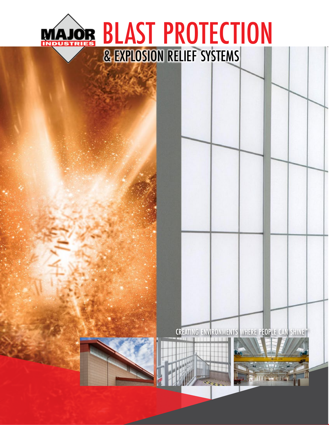### BLAST PROTECTIONMAJOR & EXPLOSION RELIEF SYSTEMS

### CREATING ENVIRONMENTS WHERE PEOPLE CAN SHINE™





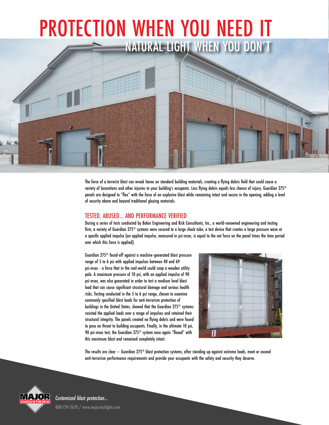# NATURAL LIGHT WHEN YOU DON' PROTECTION WHEN YOU NEED IT

The force of a terrorist blast can wreak havoc on standard building materials, creating a flying debris field that could cause a variety of lacerations and other injuries to your building's occupants. Less flying debris equals less chance of injury. Guardian 275® panels are designed to "flex" with the force of an explosive blast while remaining intact and secure in the opening, adding a level of security above and beyond traditional glazing materials.

#### TESTED, ABUSED... AND PERFORMANCE VERIFIED

During a series of tests conducted by Baker Engineering and Risk Consultants, Inc., a world-renowned engineering and testing firm, a variety of Guardian 275® systems were secured to a large shock tube, a test device that creates a large pressure wave at a specific applied impulse (an applied impulse, measured in psi-msec, is equal to the net force on the panel times the time period over which this force is applied).

Guardian 275® faced-off against a machine-generated blast pressure range of 5 to 6 psi with applied impulses between 40 and 69 psi-msec - a force that in the real-world could snap a wooden utility pole. A maximum pressure of 10 psi, with an applied impulse of 90 psi-msec, was also generated in order to test a medium level blast load that can cause significant structural damage and serious health risks. Testing conducted in the 5 to 6 psi range, chosen to examine commonly specified blast loads for anti-terrorism protection of buildings in the United States, showed that the Guardian 275® systems resisted the applied loads over a range of impulses and retained their structural integrity. The panels created no flying debris and were found to pose no threat to building occupants. Finally, in the ultimate 10 psi, 90 psi-msec test, the Guardian 275® system once again "flexed" with this maximum blast and remained completely intact.



The results are clear – Guardian 275<sup>®</sup> blast protection systems, after standing up against extreme loads, meet or exceed anti-terrorism performance requirements and provide your occupants with the safety and security they deserve.



*Customized blast protection...* 888-759-2678 / www.majorskylights.com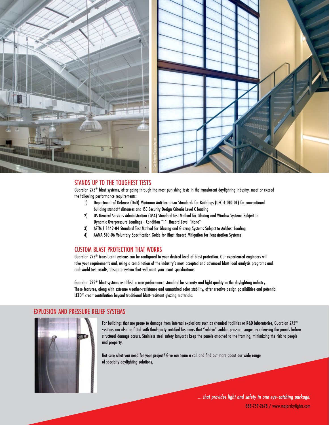



#### STANDS UP TO THE TOUGHEST TESTS

Guardian  $275^\circ$  blast systems, after aoina through the most punishing tests in the translucent daylighting industry, meet or exceed the following performance requirements:

- 1) Department of Defense (DoD) Minimum Anti-terrorism Standards for Buildings (UFC 4-010-01) for conventional building standoff distances and ISC Security Design Criteria Level C loading
- 2) US General Services Administration (GSA) Standard Test Method for Glazing and Window Systems Subject to Dynamic Overpressure Loadings - Condition "1", Hazard Level "None"
- 3) ASTM F 1642-04 Standard Test Method for Glazing and Glazing Systems Subject to Airblast Loading
- 4) AAMA 510-06 Voluntary Specification Guide for Blast Hazard Mitigation for Fenestration Systems

#### CUSTOM BLAST PROTECTION THAT WORKS

Guardian 275® translucent systems can be configured to your desired level of blast protection. Our experienced engineers will take your requirements and, using a combination of the industry's most accepted and advanced blast load analysis programs and real-world test results, design a system that will meet your exact specifications.

Guardian 275® blast systems establish a new performance standard for security and light quality in the daylighting industry. These features, along with extreme weather-resistance and unmatched color stability, offer creative design possibilities and potential

#### EXPLOSION AND PRESSURE RELIEF SYSTEMS



For buildings that are prone to damage from internal explosions such as chemical facilities or R&D laboratories, Guardian 275® systems can also be fitted with third-party certified fasteners that "relieve" sudden pressure surges by releasing the panels before structural damage occurs. Stainless steel safety lanyards keep the panels attached to the framing, minimizing the risk to people and property.

Not sure what you need for your project? Give our team a call and find out more about our wide range of specialty daylighting solutions.

> *... that provides light and safety in one eye-catching package.* 888-759-2678 / www.majorskylights.com